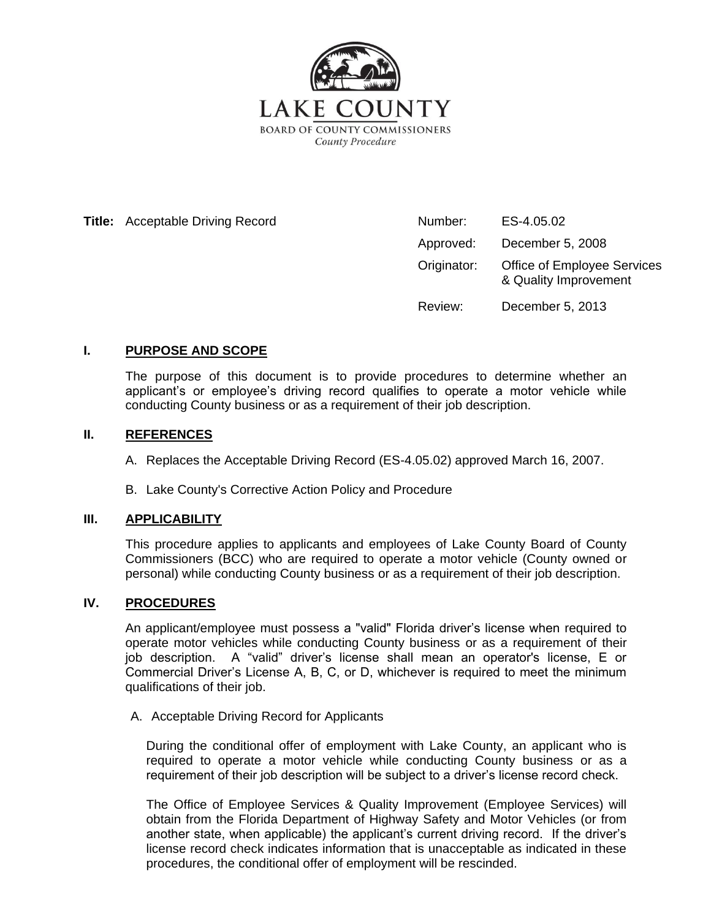

**Title:** Acceptable Driving Record

| Number:     | ES-4.05.02                                                  |
|-------------|-------------------------------------------------------------|
| Approved:   | December 5, 2008                                            |
| Originator: | <b>Office of Employee Services</b><br>& Quality Improvement |
| Review:     | December 5, 2013                                            |

## **I. PURPOSE AND SCOPE**

The purpose of this document is to provide procedures to determine whether an applicant's or employee's driving record qualifies to operate a motor vehicle while conducting County business or as a requirement of their job description.

## **II. REFERENCES**

A. Replaces the Acceptable Driving Record (ES-4.05.02) approved March 16, 2007.

B. Lake County's Corrective Action Policy and Procedure

## **III. APPLICABILITY**

This procedure applies to applicants and employees of Lake County Board of County Commissioners (BCC) who are required to operate a motor vehicle (County owned or personal) while conducting County business or as a requirement of their job description.

## **IV. PROCEDURES**

An applicant/employee must possess a "valid" Florida driver's license when required to operate motor vehicles while conducting County business or as a requirement of their job description. A "valid" driver's license shall mean an operator's license, E or Commercial Driver's License A, B, C, or D, whichever is required to meet the minimum qualifications of their job.

#### A. Acceptable Driving Record for Applicants

During the conditional offer of employment with Lake County, an applicant who is required to operate a motor vehicle while conducting County business or as a requirement of their job description will be subject to a driver's license record check.

The Office of Employee Services & Quality Improvement (Employee Services) will obtain from the Florida Department of Highway Safety and Motor Vehicles (or from another state, when applicable) the applicant's current driving record. If the driver's license record check indicates information that is unacceptable as indicated in these procedures, the conditional offer of employment will be rescinded.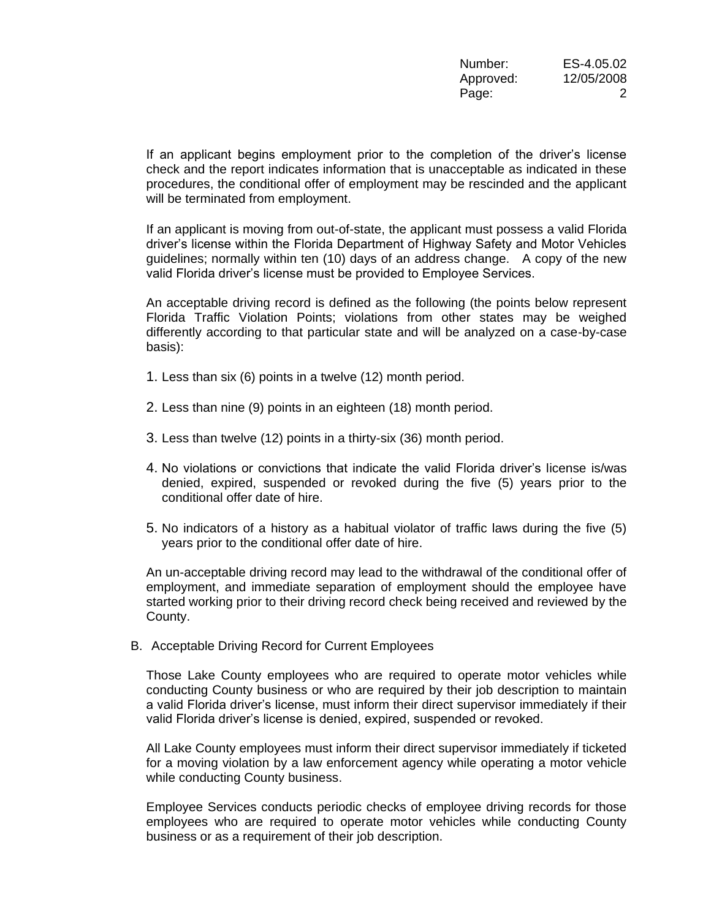If an applicant begins employment prior to the completion of the driver's license check and the report indicates information that is unacceptable as indicated in these procedures, the conditional offer of employment may be rescinded and the applicant will be terminated from employment.

If an applicant is moving from out-of-state, the applicant must possess a valid Florida driver's license within the Florida Department of Highway Safety and Motor Vehicles guidelines; normally within ten (10) days of an address change. A copy of the new valid Florida driver's license must be provided to Employee Services.

An acceptable driving record is defined as the following (the points below represent Florida Traffic Violation Points; violations from other states may be weighed differently according to that particular state and will be analyzed on a case-by-case basis):

- 1. Less than six (6) points in a twelve (12) month period.
- 2. Less than nine (9) points in an eighteen (18) month period.
- 3. Less than twelve (12) points in a thirty-six (36) month period.
- 4. No violations or convictions that indicate the valid Florida driver's license is/was denied, expired, suspended or revoked during the five (5) years prior to the conditional offer date of hire.
- 5. No indicators of a history as a habitual violator of traffic laws during the five (5) years prior to the conditional offer date of hire.

An un-acceptable driving record may lead to the withdrawal of the conditional offer of employment, and immediate separation of employment should the employee have started working prior to their driving record check being received and reviewed by the County.

B. Acceptable Driving Record for Current Employees

Those Lake County employees who are required to operate motor vehicles while conducting County business or who are required by their job description to maintain a valid Florida driver's license, must inform their direct supervisor immediately if their valid Florida driver's license is denied, expired, suspended or revoked.

All Lake County employees must inform their direct supervisor immediately if ticketed for a moving violation by a law enforcement agency while operating a motor vehicle while conducting County business.

Employee Services conducts periodic checks of employee driving records for those employees who are required to operate motor vehicles while conducting County business or as a requirement of their job description.